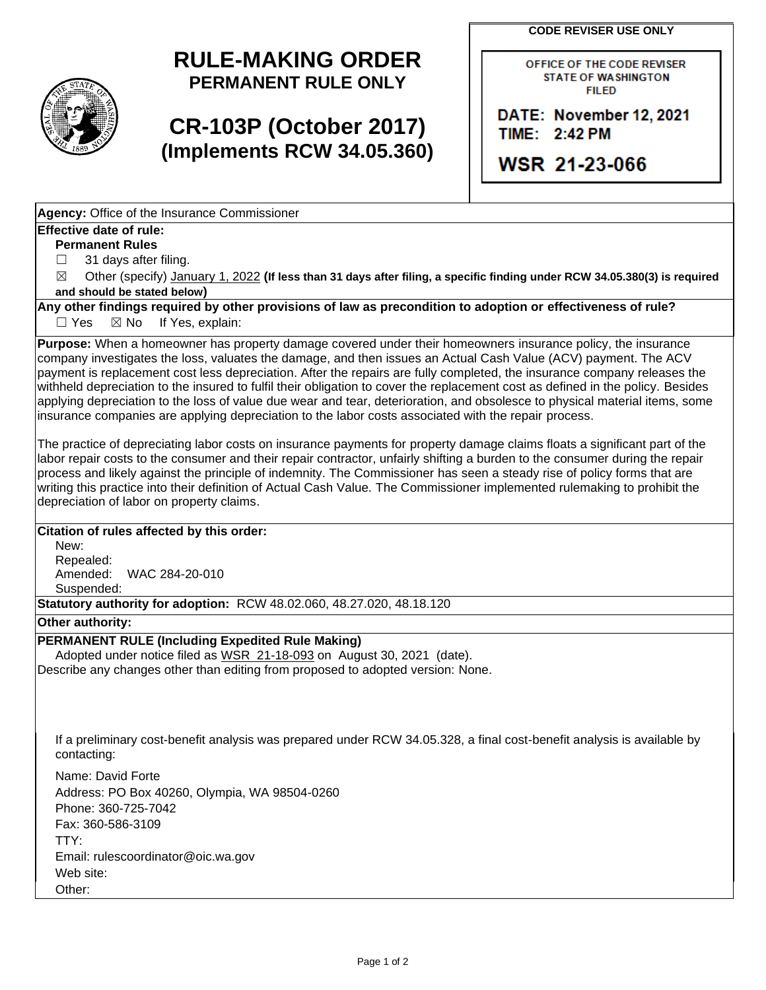**CODE REVISER USE ONLY** 



# **RULE-MAKING ORDER PERMANENT RULE ONLY**

# **CR-103P (October 2017) (Implements RCW 34.05.360)**

OFHCE OF THE CODE REVISER STATE OF WASHINGTON FIILED

**DATE: November 12, 2021 TIME: .2:4.2 PM** 

**WSR 21-23-066** 

**Agency:** Office of the Insurance Commissioner

#### **Effective date of rule:**

**Permanent Rules** 

□ 31 days after filing.

☒ Other (specify) January 1, 2022 **(If less than 31 days after filing, a specific finding under RCW 34.05.380(3) is required and should be stated below)** 

**Any other findings required by other provisions of law as precondition to adoption or effectiveness of rule?** 

□ Yes ⊠ No If Yes, explain:

**Purpose:** When a homeowner has property damage covered under their homeowners insurance policy, the insurance company investigates the loss, valuates the damage, and then issues an Actual Cash Value (ACV) payment. The ACV payment is replacement cost less depreciation. After the repairs are fully completed, the insurance company releases the withheld depreciation to the insured to fulfil their obligation to cover the replacement cost as defined in the policy. Besides applying depreciation to the loss of value due wear and tear, deterioration, and obsolesce to physical material items, some insurance companies are applying depreciation to the labor costs associated with the repair process.

The practice of depreciating labor costs on insurance payments for property damage claims floats a significant part of the labor repair costs to the consumer and their repair contractor, unfairly shifting a burden to the consumer during the repair process and likely against the principle of indemnity. The Commissioner has seen a steady rise of policy forms that are writing this practice into their definition of Actual Cash Value. The Commissioner implemented rulemaking to prohibit the depreciation of labor on property claims.

### **Citation of rules affected by this order:**

New: Repealed: Amended: WAC 284-20-010 Suspended:

**Statutory authority for adoption:** RCW 48.02.060, 48.27.020, 48.18.120

**Other authority:** 

#### **PERMANENT RULE (Including Expedited Rule Making)**

Adopted under notice filed as WSR 21-18-093 on August 30, 2021 (date). Describe any changes other than editing from proposed to adopted version: None.

If a preliminary cost-benefit analysis was prepared under RCW 34.05.328, a final cost-benefit analysis is available by contacting:

Name: David Forte Address: PO Box 40260, Olympia, WA 98504-0260 Phone: 360-725-7042 Fax: 360-586-3109 TTY: Email: rulescoordinator@oic.wa.gov Web site: Other: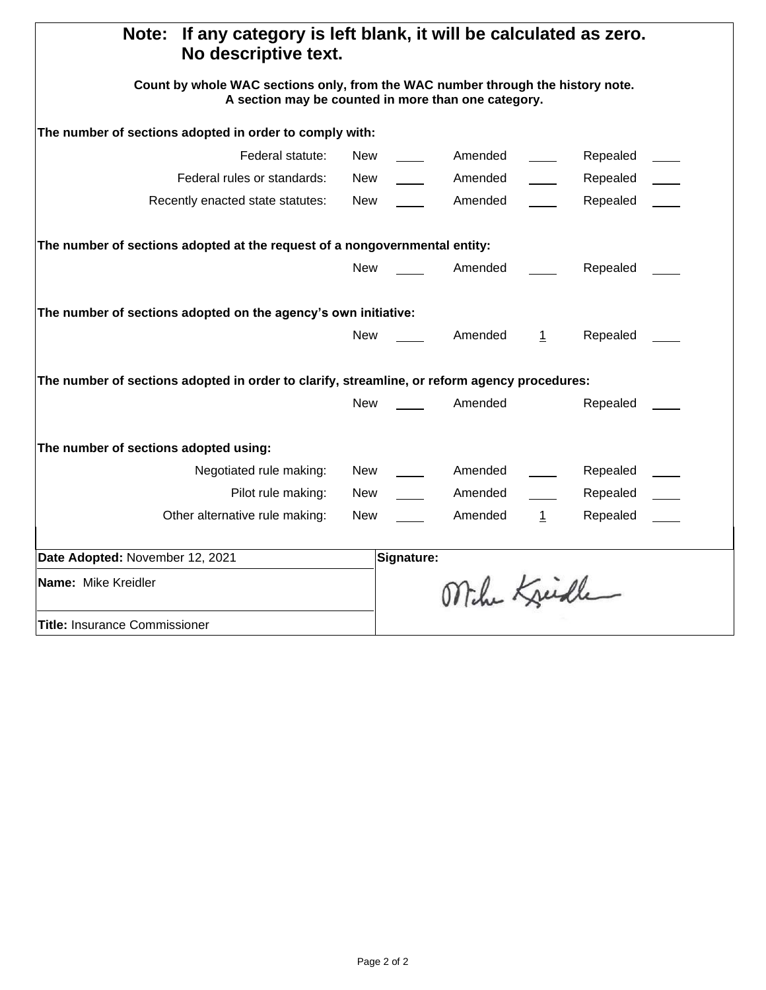| If any category is left blank, it will be calculated as zero.<br>Note:<br>No descriptive text.                                         |            |            |              |              |          |  |
|----------------------------------------------------------------------------------------------------------------------------------------|------------|------------|--------------|--------------|----------|--|
| Count by whole WAC sections only, from the WAC number through the history note.<br>A section may be counted in more than one category. |            |            |              |              |          |  |
| The number of sections adopted in order to comply with:                                                                                |            |            |              |              |          |  |
| Federal statute:                                                                                                                       | New        |            | Amended      |              | Repealed |  |
| Federal rules or standards:                                                                                                            | New        |            | Amended      |              | Repealed |  |
| Recently enacted state statutes:                                                                                                       | New        |            | Amended      |              | Repealed |  |
| The number of sections adopted at the request of a nongovernmental entity:                                                             |            |            |              |              |          |  |
|                                                                                                                                        | <b>New</b> |            | Amended      |              | Repealed |  |
| The number of sections adopted on the agency's own initiative:                                                                         |            |            |              |              |          |  |
|                                                                                                                                        | <b>New</b> |            | Amended      | $\perp$      | Repealed |  |
| The number of sections adopted in order to clarify, streamline, or reform agency procedures:                                           |            |            |              |              |          |  |
|                                                                                                                                        | <b>New</b> |            | Amended      |              | Repealed |  |
| The number of sections adopted using:                                                                                                  |            |            |              |              |          |  |
| Negotiated rule making:                                                                                                                | New        |            | Amended      |              | Repealed |  |
| Pilot rule making:                                                                                                                     | New        |            | Amended      |              | Repealed |  |
| Other alternative rule making:                                                                                                         | New        |            | Amended      | $\mathbf{1}$ | Repealed |  |
| Date Adopted: November 12, 2021                                                                                                        |            | Signature: |              |              |          |  |
| Name: Mike Kreidler                                                                                                                    |            |            | Mihe Kreiche |              |          |  |
| <b>Title: Insurance Commissioner</b>                                                                                                   |            |            |              |              |          |  |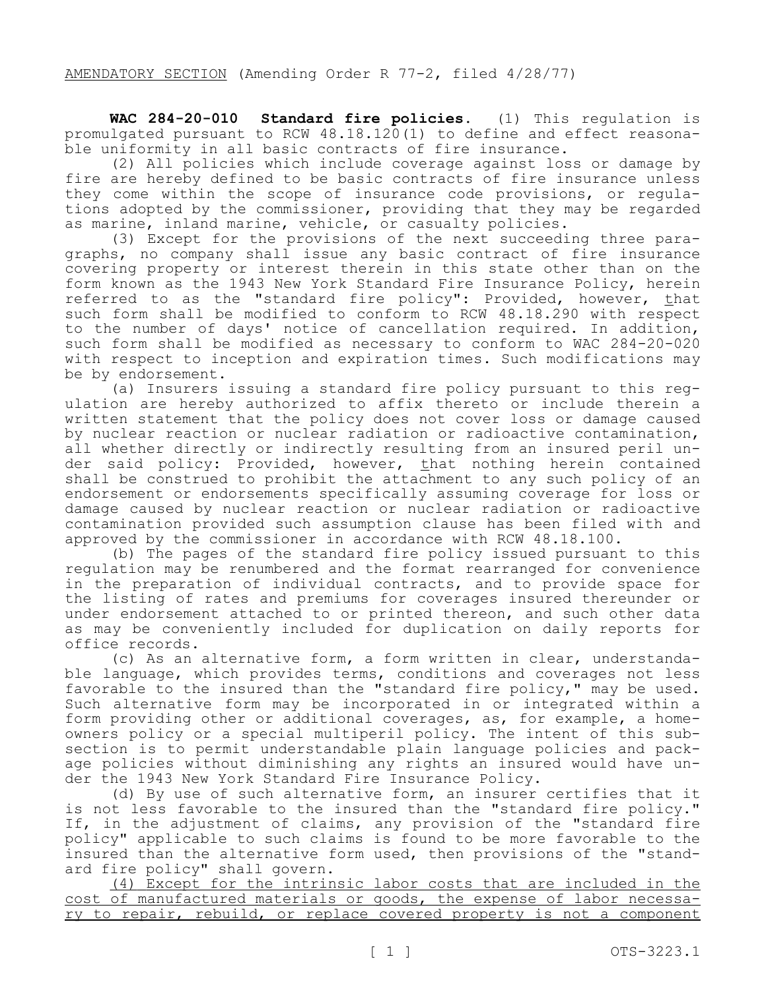**WAC 284-20-010 Standard fire policies.** (1) This regulation is promulgated pursuant to RCW 48.18.120(1) to define and effect reasona- ble uniformity in all basic contracts of fire insurance.

(2) All policies which include coverage against loss or damage by fire are hereby defined to be basic contracts of fire insurance unless<br>they come within the scope of insurance code provisions, or regulations adopted by the commissioner, providing that they may be regarded

as marine, inland marine, vehicle, or casualty policies.<br>(3) Except for the provisions of the next succeeding three paragraphs, no company shall issue any basic contract of fire insurance covering property or interest therein in this state other than on the form known as the 1943 New York Standard Fire Insurance Policy, herein referred to as the "standard fire policy": Provided, however, that such form shall be modified to conform to RCW 48.18.290 with respect to the number of days' notice of cancellation required. In addition, such form shall be modified as necessary to conform to WAC 284-20-020 with respect to inception and expiration times. Such modifications may

be by endorsement.<br>(a) Insurers issuing a standard fire policy pursuant to this regulation are hereby authorized to affix thereto or include therein a written statement that the policy does not cover loss or damage caused by nuclear reaction or nuclear radiation or radioactive contamination, all whether directly or indirectly resulting from an insured peril un-<br>der said policy: Provided, however, that nothing herein contained shall be construed to prohibit the attachment to any such policy of an endorsement or endorsements specifically assuming coverage for loss or damage caused by nuclear reaction or nuclear radiation or radioactive contamination provided such assumption clause has been filed with and approved by the commissioner in accordance with RCW 48.18.100.

(b) The pages of the standard fire policy issued pursuant to this regulation may be renumbered and the format rearranged for convenience in the preparation of individual contracts, and to provide space for the listing of rates and premiums for coverages insured thereunder or under endorsement attached to or printed thereon, and such other data as may be conveniently included for duplication on daily reports for

office records.<br>(c) As an alternative form, a form written in clear, understandable language, which provides terms, conditions and coverages not less favorable to the insured than the "standard fire policy," may be used. Such alternative form may be incorporated in or integrated within a<br>form providing other or additional coverages, as, for example, a homeowners policy or a special multiperil policy. The intent of this sub-<br>section is to permit understandable plain language policies and package policies without diminishing any rights an insured would have under the 1943 New York Standard Fire Insurance Policy.

(d) By use of such alternative form, an insurer certifies that it is not less favorable to the insured than the "standard fire policy." If, in the adjustment of claims, any provision of the "standard fire policy" applicable to such claims is found to be more favorable to the insured than the alternative form used, then provisions of the "standard fire policy" shall govern.

(4) Except for the intrinsic labor costs that are included in the cost of manufactured materials or goods, the expense of labor necessa-<br>ry to repair, rebuild, or replace covered property is not a component